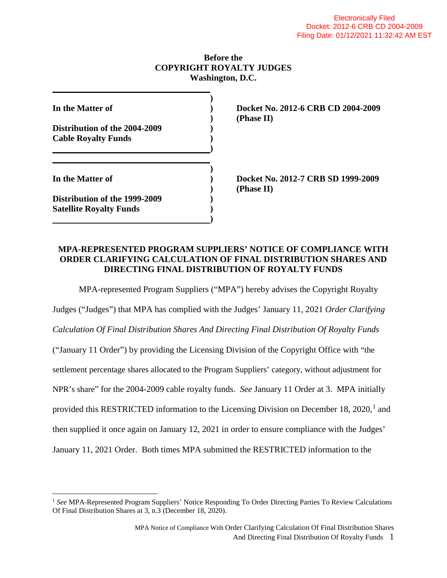### **Before the COPYRIGHT ROYALTY JUDGES Washington, D.C.**

| In the Matter of                                                |  |
|-----------------------------------------------------------------|--|
| Distribution of the 2004-2009<br><b>Cable Royalty Funds</b>     |  |
| In the Matter of                                                |  |
| Distribution of the 1999-2009<br><b>Satellite Royalty Funds</b> |  |

**In the Matter of ) Docket No. 2012-6 CRB CD 2004-2009 ) (Phase II)**

**In the Matter of ) Docket No. 2012-7 CRB SD 1999-2009 ) (Phase II)**

## **MPA-REPRESENTED PROGRAM SUPPLIERS' NOTICE OF COMPLIANCE WITH ORDER CLARIFYING CALCULATION OF FINAL DISTRIBUTION SHARES AND DIRECTING FINAL DISTRIBUTION OF ROYALTY FUNDS**

MPA-represented Program Suppliers ("MPA") hereby advises the Copyright Royalty

Judges ("Judges") that MPA has complied with the Judges' January 11, 2021 *Order Clarifying Calculation Of Final Distribution Shares And Directing Final Distribution Of Royalty Funds* ("January 11 Order") by providing the Licensing Division of the Copyright Office with "the settlement percentage shares allocated to the Program Suppliers' category, without adjustment for NPR's share" for the 2004-2009 cable royalty funds. *See* January 11 Order at 3. MPA initially provided this RESTRICTED information to the Licensing Division on December [1](#page-0-0)8,  $2020$ ,<sup>1</sup> and then supplied it once again on January 12, 2021 in order to ensure compliance with the Judges' January 11, 2021 Order. Both times MPA submitted the RESTRICTED information to the

<span id="page-0-0"></span> <sup>1</sup> *See* MPA-Represented Program Suppliers' Notice Responding To Order Directing Parties To Review Calculations Of Final Distribution Shares at 3, n.3 (December 18, 2020).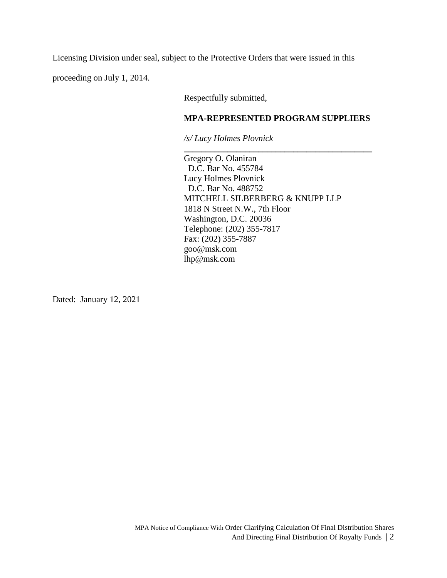Licensing Division under seal, subject to the Protective Orders that were issued in this

proceeding on July 1, 2014.

Respectfully submitted,

#### **MPA-REPRESENTED PROGRAM SUPPLIERS**

**\_\_\_\_\_\_\_\_\_\_\_\_\_\_\_\_\_\_\_\_\_\_\_\_\_\_\_\_\_\_\_\_\_\_\_\_\_\_\_\_\_\_\_**

*/s/ Lucy Holmes Plovnick*

Gregory O. Olaniran D.C. Bar No. 455784 Lucy Holmes Plovnick D.C. Bar No. 488752 MITCHELL SILBERBERG & KNUPP LLP 1818 N Street N.W., 7th Floor Washington, D.C. 20036 Telephone: (202) 355-7817 Fax: (202) 355-7887 goo@msk.com lhp@msk.com

Dated: January 12, 2021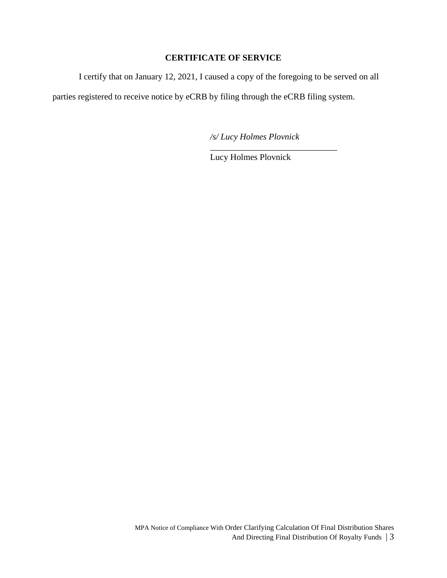## **CERTIFICATE OF SERVICE**

I certify that on January 12, 2021, I caused a copy of the foregoing to be served on all

parties registered to receive notice by eCRB by filing through the eCRB filing system.

*/s/ Lucy Holmes Plovnick*

\_\_\_\_\_\_\_\_\_\_\_\_\_\_\_\_\_\_\_\_\_\_\_\_\_\_\_\_\_

Lucy Holmes Plovnick